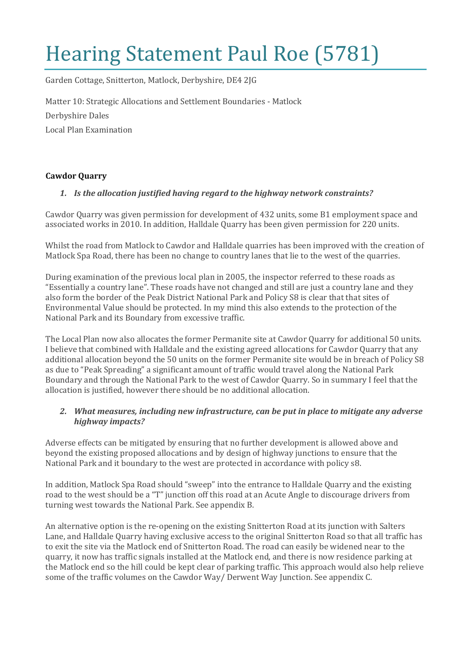# Hearing Statement Paul Roe (5781)

Garden Cottage, Snitterton, Matlock, Derbyshire, DE4 2JG

Matter 10: Strategic Allocations and Settlement Boundaries - Matlock

Derbyshire Dales

Local Plan Examination

#### **Cawdor Quarry**

#### *1. Is the allocation justified having regard to the highway network constraints?*

Cawdor Quarry was given permission for development of 432 units, some B1 employment space and associated works in 2010. In addition, Halldale Quarry has been given permission for 220 units.

Whilst the road from Matlock to Cawdor and Halldale quarries has been improved with the creation of Matlock Spa Road, there has been no change to country lanes that lie to the west of the quarries.

During examination of the previous local plan in 2005, the inspector referred to these roads as "Essentially a country lane". These roads have not changed and still are just a country lane and they also form the border of the Peak District National Park and Policy S8 is clear that that sites of Environmental Value should be protected. In my mind this also extends to the protection of the National Park and its Boundary from excessive traffic.

The Local Plan now also allocates the former Permanite site at Cawdor Quarry for additional 50 units. I believe that combined with Halldale and the existing agreed allocations for Cawdor Quarry that any additional allocation beyond the 50 units on the former Permanite site would be in breach of Policy S8 as due to "Peak Spreading" a significant amount of traffic would travel along the National Park Boundary and through the National Park to the west of Cawdor Quarry. So in summary I feel that the allocation is justified, however there should be no additional allocation.

#### *2. What measures, including new infrastructure, can be put in place to mitigate any adverse highway impacts?*

Adverse effects can be mitigated by ensuring that no further development is allowed above and beyond the existing proposed allocations and by design of highway junctions to ensure that the National Park and it boundary to the west are protected in accordance with policy s8.

In addition, Matlock Spa Road should "sweep" into the entrance to Halldale Quarry and the existing road to the west should be a "T" junction off this road at an Acute Angle to discourage drivers from turning west towards the National Park. See appendix B.

An alternative option is the re-opening on the existing Snitterton Road at its junction with Salters Lane, and Halldale Quarry having exclusive access to the original Snitterton Road so that all traffic has to exit the site via the Matlock end of Snitterton Road. The road can easily be widened near to the quarry, it now has traffic signals installed at the Matlock end, and there is now residence parking at the Matlock end so the hill could be kept clear of parking traffic. This approach would also help relieve some of the traffic volumes on the Cawdor Way/ Derwent Way Junction. See appendix C.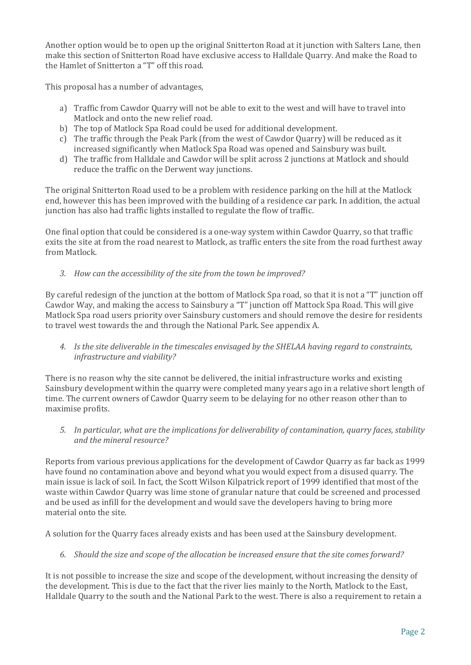Another option would be to open up the original Snitterton Road at it junction with Salters Lane, then make this section of Snitterton Road have exclusive access to Halldale Quarry. And make the Road to the Hamlet of Snitterton a "T" off this road.

This proposal has a number of advantages,

- a) Traffic from Cawdor Quarry will not be able to exit to the west and will have to travel into Matlock and onto the new relief road.
- b) The top of Matlock Spa Road could be used for additional development.
- c) The traffic through the Peak Park (from the west of Cawdor Quarry) will be reduced as it increased significantly when Matlock Spa Road was opened and Sainsbury was built.
- d) The traffic from Halldale and Cawdor will be split across 2 junctions at Matlock and should reduce the traffic on the Derwent way junctions.

The original Snitterton Road used to be a problem with residence parking on the hill at the Matlock end, however this has been improved with the building of a residence car park. In addition, the actual junction has also had traffic lights installed to regulate the flow of traffic.

One final option that could be considered is a one-way system within Cawdor Quarry, so that traffic exits the site at from the road nearest to Matlock, as traffic enters the site from the road furthest away from Matlock.

*3. How can the accessibility of the site from the town be improved?*

By careful redesign of the junction at the bottom of Matlock Spa road, so that it is not a "T" junction off Cawdor Way, and making the access to Sainsbury a "T" junction off Mattock Spa Road. This will give Matlock Spa road users priority over Sainsbury customers and should remove the desire for residents to travel west towards the and through the National Park. See appendix A.

*4. Is the site deliverable in the timescales envisaged by the SHELAA having regard to constraints, infrastructure and viability?*

There is no reason why the site cannot be delivered, the initial infrastructure works and existing Sainsbury development within the quarry were completed many years ago in a relative short length of time. The current owners of Cawdor Quarry seem to be delaying for no other reason other than to maximise profits.

*5. In particular, what are the implications for deliverability of contamination, quarry faces, stability and the mineral resource?*

Reports from various previous applications for the development of Cawdor Quarry as far back as 1999 have found no contamination above and beyond what you would expect from a disused quarry. The main issue is lack of soil. In fact, the Scott Wilson Kilpatrick report of 1999 identified that most of the waste within Cawdor Quarry was lime stone of granular nature that could be screened and processed and be used as infill for the development and would save the developers having to bring more material onto the site.

A solution for the Quarry faces already exists and has been used at the Sainsbury development.

*6. Should the size and scope of the allocation be increased ensure that the site comes forward?*

It is not possible to increase the size and scope of the development, without increasing the density of the development. This is due to the fact that the river lies mainly to the North, Matlock to the East, Halldale Quarry to the south and the National Park to the west. There is also a requirement to retain a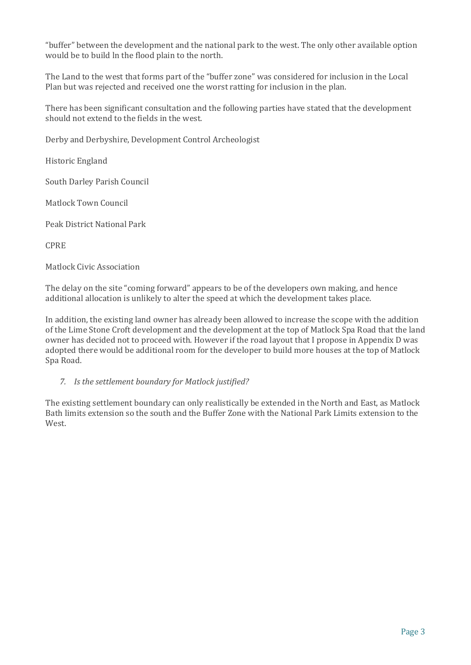"buffer" between the development and the national park to the west. The only other available option would be to build ln the flood plain to the north.

The Land to the west that forms part of the "buffer zone" was considered for inclusion in the Local Plan but was rejected and received one the worst ratting for inclusion in the plan.

There has been significant consultation and the following parties have stated that the development should not extend to the fields in the west.

Derby and Derbyshire, Development Control Archeologist

Historic England

South Darley Parish Council

Matlock Town Council

Peak District National Park

CPRE

Matlock Civic Association

The delay on the site "coming forward" appears to be of the developers own making, and hence additional allocation is unlikely to alter the speed at which the development takes place.

In addition, the existing land owner has already been allowed to increase the scope with the addition of the Lime Stone Croft development and the development at the top of Matlock Spa Road that the land owner has decided not to proceed with. However if the road layout that I propose in Appendix D was adopted there would be additional room for the developer to build more houses at the top of Matlock Spa Road.

#### *7. Is the settlement boundary for Matlock justified?*

The existing settlement boundary can only realistically be extended in the North and East, as Matlock Bath limits extension so the south and the Buffer Zone with the National Park Limits extension to the West.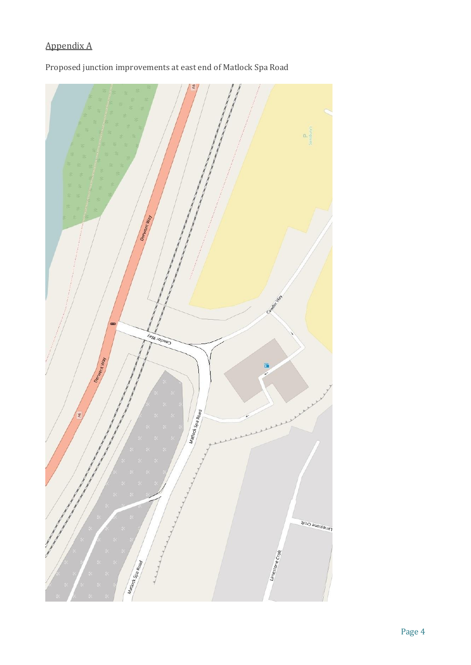## Appendix A



Proposed junction improvements at east end of Matlock Spa Road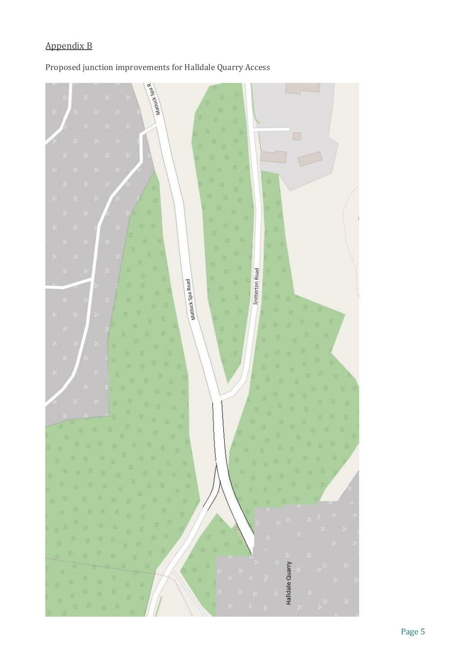## Appendix B

## Proposed junction improvements for Halldale Quarry Access

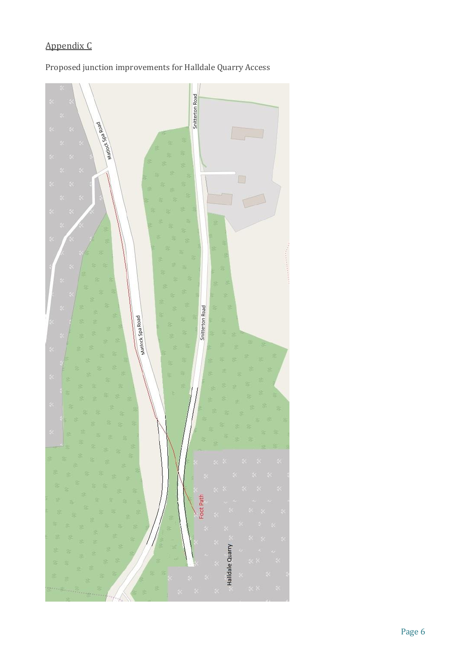## Appendix C

## Proposed junction improvements for Halldale Quarry Access